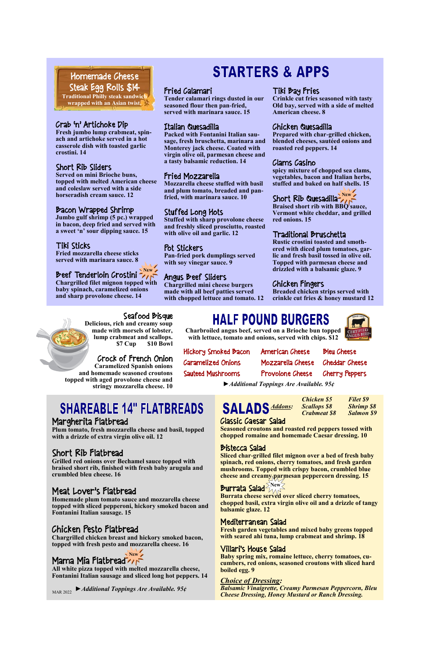**Charbroiled angus beef, served on a Brioche bun topped with lettuce, tomato and onions, served with chips. \$12**

Hickory Smoked Bacon American Cheese Bleu Cheese Caramelized Onions Mozzarella Cheese Cheddar Cheese Sauteed Mushrooms Provolone Cheese Cherry Peppers

*►Additional Toppings Are Available. 95¢*

#### Fried Calamari

**Tender calamari rings dusted in our seasoned flour then pan-fried, served with marinara sauce. 15**

#### Italian Quesadilla

**Packed with Fontanini Italian sausage, fresh bruschetta, marinara and Monterey jack cheese. Coated with virgin olive oil, parmesan cheese and a tasty balsamic reduction. 14**

#### Fried Mozzarella

**Mozzarella cheese stuffed with basil and plum tomato, breaded and panfried, with marinara sauce. 10**

#### Stuffed Long Hots

**Stuffed with sharp provolone cheese and freshly sliced prosciutto, roasted with olive oil and garlic. 12**

#### Pot Stickers

**Pan-fried pork dumplings served with soy vinegar sauce. 9**

#### Angus Beef Sliders

**Chargrilled mini cheese burgers made with all beef patties served with chopped lettuce and tomato. 12**

#### Crab 'n' Artichoke Dip

**Fresh jumbo lump crabmeat, spinach and artichoke served in a hot casserole dish with toasted garlic crostini. 14**

#### Short Rib Sliders

**Braised short rib with BBQ** sauce, **Vermont white cheddar, and grilled red onions. 15**

**Served on mini Brioche buns, topped with melted American cheese and coleslaw served with a side horseradish cream sauce. 12**

#### Bacon Wrapped Shrimp

**Jumbo gulf shrimp (5 pc.) wrapped in bacon, deep fried and served with a sweet 'n' sour dipping sauce. 15**

#### Tiki Sticks

**Fried mozzarella cheese sticks served with marinara sauce. 8**

**Chargrilled filet mignon topped with baby spinach, caramelized onions and sharp provolone cheese. 14**

# **STARTERS & APPS**

Burrata cheese served over sliced cherry tomatoes, **chopped basil, extra virgin olive oil and a drizzle of tangy balsamic glaze. 12**

### Seafood Bisque

**Delicious, rich and creamy soup made with morsels of lobster, lump crabmeat and scallops. \$7 Cup \$10 Bowl**

Crock of French Onion

**Caramelized Spanish onions and homemade seasoned croutons topped with aged provolone cheese and stringy mozzarella cheese. 10**

# **SHAREABLE 14" FLATBREADS**

#### Tiki Bay Fries

**Crinkle cut fries seasoned with tasty Old bay, served with a side of melted American cheese. 8**

#### Chicken Quesadilla

**Prepared with char-grilled chicken, blended cheeses, sautéed onions and roasted red peppers. 14**

#### Clams Casino

**spicy mixture of chopped sea clams, vegetables, bacon and Italian herbs, stuffed and baked on half shells. 15**

# Short Rib Quesadilla<sup>>New</sup>

#### Traditional Bruschetta

**Rustic crostini toasted and smothered with diced plum tomatoes, garlic and fresh basil tossed in olive oil. Topped with parmesan cheese and drizzled with a balsamic glaze. 9**

### Chicken Fingers

# Beef Tenderloin Crostini **New**

**Breaded chicken strips served with crinkle cut fries & honey mustard 12**

*Chicken \$5 Filet \$9 Addons: Scallops \$8 Shrimp \$8 Crabmeat \$8 Salmon \$9*

#### Classic Caesar Salad

**Seasoned croutons and roasted red peppers tossed with chopped romaine and homemade Caesar dressing. 10**

#### Bistecca Salad

**Sliced char-grilled filet mignon over a bed of fresh baby spinach, red onions, cherry tomatoes, and fresh garden mushrooms. Topped with crispy bacon, crumbled blue cheese and creamy parmesan peppercorn dressing. 15**

#### Mediterranean Salad

**Fresh garden vegetables and mixed baby greens topped with seared ahi tuna, lump crabmeat and shrimp. 18**

### Villari's House Salad

**Baby spring mix, romaine lettuce, cherry tomatoes, cucumbers, red onions, seasoned croutons with sliced hard boiled egg. 9**

#### *Choice of Dressing:*

*Balsamic Vinaigrette, Creamy Parmesan Peppercorn, Bleu Cheese Dressing, Honey Mustard or Ranch Dressing.*

Homemade Cheese Steak Egg Rolls \$14 **Traditional Philly steak sandwich wrapped with an Asian twist.**

#### Margherita Flatbread

**Plum tomato, fresh mozzarella cheese and basil, topped with a drizzle of extra virgin olive oil. 12**

### Short Rib Flatbread

**Grilled red onions over Bechamel sauce topped with braised short rib, finished with fresh baby arugula and crumbled bleu cheese. 16**

# **HALF POUND BURGERS**

## Meat Lover's Flatbread

**Homemade plum tomato sauce and mozzarella cheese topped with sliced pepperoni, hickory smoked bacon and Fontanini Italian sausage. 15**

### Chicken Pesto Flatbread

**Chargrilled chicken breast and hickory smoked bacon, topped with fresh pesto and mozzarella cheese. 16**

#### Mama Mia Flatbread **New /**

**All white pizza topped with melted mozzarella cheese, Fontanini Italian sausage and sliced long hot peppers. 14**

*►Additional Toppings Are Available. 95¢* MAR 2022

### **Burrata Salad<sup>SNew</sup>**